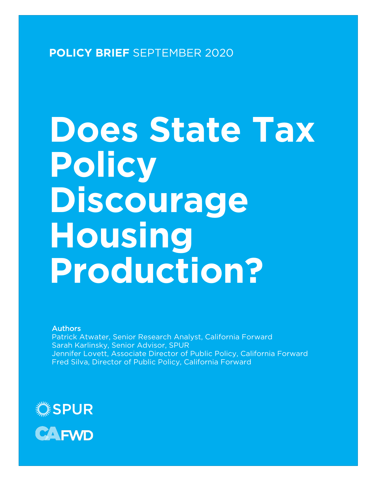**POLICY BRIEF** SEPTEMBER 2020

# **Does State Tax Policy Discourage Housing Production?**

#### Authors

Patrick Atwater, Senior Research Analyst, California Forward Sarah Karlinsky, Senior Advisor, SPUR Jennifer Lovett, Associate Director of Public Policy, California Forward Fred Silva, Director of Public Policy, California Forward

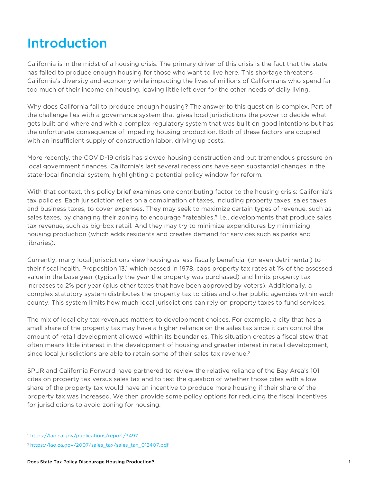## Introduction

California is in the midst of a housing crisis. The primary driver of this crisis is the fact that the state has failed to produce enough housing for those who want to live here. This shortage threatens California's diversity and economy while impacting the lives of millions of Californians who spend far too much of their income on housing, leaving little left over for the other needs of daily living.

Why does California fail to produce enough housing? The answer to this question is complex. Part of the challenge lies with a governance system that gives local jurisdictions the power to decide what gets built and where and with a complex regulatory system that was built on good intentions but has the unfortunate consequence of impeding housing production. Both of these factors are coupled with an insufficient supply of construction labor, driving up costs.

More recently, the COVID-19 crisis has slowed housing construction and put tremendous pressure on local government finances. California's last several recessions have seen substantial changes in the state-local financial system, highlighting a potential policy window for reform.

With that context, this policy brief examines one contributing factor to the housing crisis: California's tax policies. Each jurisdiction relies on a combination of taxes, including property taxes, sales taxes and business taxes, to cover expenses. They may seek to maximize certain types of revenue, such as sales taxes, by changing their zoning to encourage "rateables," i.e., developments that produce sales tax revenue, such as big-box retail. And they may try to minimize expenditures by minimizing housing production (which adds residents and creates demand for services such as parks and libraries).

Currently, many local jurisdictions view housing as less fiscally beneficial (or even detrimental) to their fiscal health. Proposition 13,1 which passed in 1978, caps property tax rates at 1% of the assessed value in the base year (typically the year the property was purchased) and limits property tax increases to 2% per year (plus other taxes that have been approved by voters). Additionally, a complex statutory system distributes the property tax to cities and other public agencies within each county. This system limits how much local jurisdictions can rely on property taxes to fund services.

The mix of local city tax revenues matters to development choices. For example, a city that has a small share of the property tax may have a higher reliance on the sales tax since it can control the amount of retail development allowed within its boundaries. This situation creates a fiscal stew that often means little interest in the development of housing and greater interest in retail development, since local jurisdictions are able to retain some of their sales tax revenue.<sup>2</sup>

SPUR and California Forward have partnered to review the relative reliance of the Bay Area's 101 cites on property tax versus sales tax and to test the question of whether those cites with a low share of the property tax would have an incentive to produce more housing if their share of the property tax was increased. We then provide some policy options for reducing the fiscal incentives for jurisdictions to avoid zoning for housing.

<sup>1</sup> https://lao.ca.gov/publications/report/3497

<sup>2</sup> https://lao.ca.gov/2007/sales\_tax/sales\_tax\_012407.pdf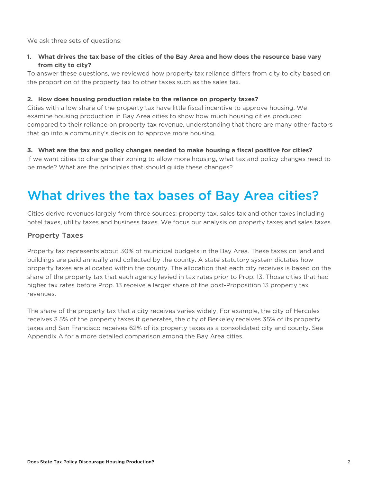We ask three sets of questions:

#### **1. What drives the tax base of the cities of the Bay Area and how does the resource base vary from city to city?**

To answer these questions, we reviewed how property tax reliance differs from city to city based on the proportion of the property tax to other taxes such as the sales tax.

#### **2. How does housing production relate to the reliance on property taxes?**

Cities with a low share of the property tax have little fiscal incentive to approve housing. We examine housing production in Bay Area cities to show how much housing cities produced compared to their reliance on property tax revenue, understanding that there are many other factors that go into a community's decision to approve more housing.

#### **3. What are the tax and policy changes needed to make housing a fiscal positive for cities?**

If we want cities to change their zoning to allow more housing, what tax and policy changes need to be made? What are the principles that should guide these changes?

## What drives the tax bases of Bay Area cities?

Cities derive revenues largely from three sources: property tax, sales tax and other taxes including hotel taxes, utility taxes and business taxes. We focus our analysis on property taxes and sales taxes.

#### Property Taxes

Property tax represents about 30% of municipal budgets in the Bay Area. These taxes on land and buildings are paid annually and collected by the county. A state statutory system dictates how property taxes are allocated within the county. The allocation that each city receives is based on the share of the property tax that each agency levied in tax rates prior to Prop. 13. Those cities that had higher tax rates before Prop. 13 receive a larger share of the post-Proposition 13 property tax revenues.

The share of the property tax that a city receives varies widely. For example, the city of Hercules receives 3.5% of the property taxes it generates, the city of Berkeley receives 35% of its property taxes and San Francisco receives 62% of its property taxes as a consolidated city and county. See Appendix A for a more detailed comparison among the Bay Area cities.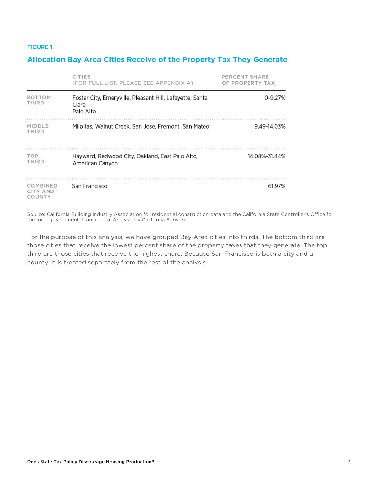#### FIGURE 1.

#### **Allocation Bay Area Cities Receive of the Property Tax They Generate**

|                                       | <b>CITIES</b><br>(FOR FULL LIST, PLEASE SEE APPENDIX A)                         | PERCENT SHARE<br>OF PROPERTY TAX |  |
|---------------------------------------|---------------------------------------------------------------------------------|----------------------------------|--|
| <b>BOTTOM</b><br>THIRD                | Foster City, Emeryville, Pleasant Hill, Lafayette, Santa<br>Clara,<br>Palo Alto | 0-9.27%                          |  |
| MIDDLE<br>THIRD                       | Milpitas, Walnut Creek, San Jose, Fremont, San Mateo                            | 9.49-14.03%                      |  |
| <b>TOP</b><br>THIRD                   | Hayward, Redwood City, Oakland, East Palo Alto,<br>American Canyon              | 14.08%-31.44%                    |  |
| COMBINED<br><b>CITY AND</b><br>COUNTY | San Francisco                                                                   | 61.97%                           |  |

Source: California Building Industry Association for residential construction data and the California State Controller's Office for the local government finance data. Analysis by California Forward.

For the purpose of this analysis, we have grouped Bay Area cities into thirds. The bottom third are those cities that receive the lowest percent share of the property taxes that they generate. The top third are those cities that receive the highest share. Because San Francisco is both a city and a county, it is treated separately from the rest of the analysis.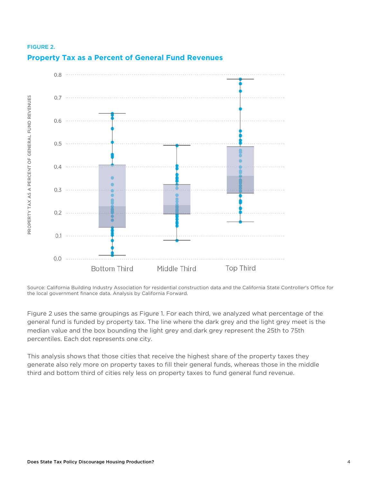

## FIGURE 2. **Property Tax as a Percent of General Fund Revenues**

Source: California Building Industry Association for residential construction data and the California State Controller's Office for the local government finance data. Analysis by California Forward.

Figure 2 uses the same groupings as Figure 1. For each third, we analyzed what percentage of the general fund is funded by property tax. The line where the dark grey and the light grey meet is the median value and the box bounding the light grey and dark grey represent the 25th to 75th percentiles. Each dot represents one city.

This analysis shows that those cities that receive the highest share of the property taxes they generate also rely more on property taxes to fill their general funds, whereas those in the middle third and bottom third of cities rely less on property taxes to fund general fund revenue.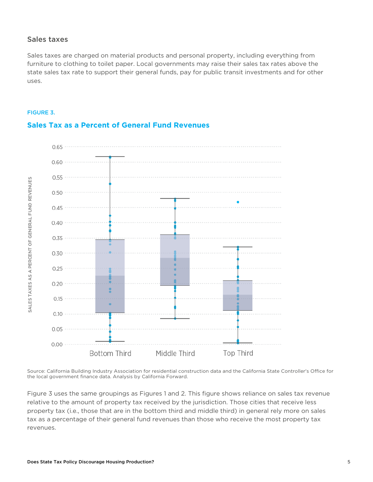#### Sales taxes

Sales taxes are charged on material products and personal property, including everything from furniture to clothing to toilet paper. Local governments may raise their sales tax rates above the state sales tax rate to support their general funds, pay for public transit investments and for other uses.





#### **Sales Tax as a Percent of General Fund Revenues**

Source: California Building Industry Association for residential construction data and the California State Controller's Office for the local government finance data. Analysis by California Forward.

Figure 3 uses the same groupings as Figures 1 and 2. This figure shows reliance on sales tax revenue relative to the amount of property tax received by the jurisdiction. Those cities that receive less property tax (i.e., those that are in the bottom third and middle third) in general rely more on sales tax as a percentage of their general fund revenues than those who receive the most property tax revenues.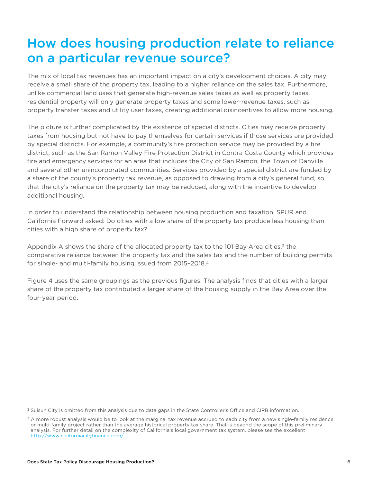## How does housing production relate to reliance on a particular revenue source?

The mix of local tax revenues has an important impact on a city's development choices. A city may receive a small share of the property tax, leading to a higher reliance on the sales tax. Furthermore, unlike commercial land uses that generate high-revenue sales taxes as well as property taxes, residential property will only generate property taxes and some lower-revenue taxes, such as property transfer taxes and utility user taxes, creating additional disincentives to allow more housing.

The picture is further complicated by the existence of special districts. Cities may receive property taxes from housing but not have to pay themselves for certain services if those services are provided by special districts. For example, a community's fire protection service may be provided by a fire district, such as the San Ramon Valley Fire Protection District in Contra Costa County which provides fire and emergency services for an area that includes the City of San Ramon, the Town of Danville and several other unincorporated communities. Services provided by a special district are funded by a share of the county's property tax revenue, as opposed to drawing from a city's general fund, so that the city's reliance on the property tax may be reduced, along with the incentive to develop additional housing.

In order to understand the relationship between housing production and taxation, SPUR and California Forward asked: Do cities with a low share of the property tax produce less housing than cities with a high share of property tax?

Appendix A shows the share of the allocated property tax to the 101 Bay Area cities,<sup>3</sup> the comparative reliance between the property tax and the sales tax and the number of building permits for single- and multi-family housing issued from 2015–2018.4

Figure 4 uses the same groupings as the previous figures. The analysis finds that cities with a larger share of the property tax contributed a larger share of the housing supply in the Bay Area over the four-year period.

<sup>3</sup> Suisun City is omitted from this analysis due to data gaps in the State Controller's Office and CIRB information.

<sup>4</sup> A more robust analysis would be to look at the marginal tax revenue accrued to each city from a new single-family residence or multi-family project rather than the average historical property tax share. That is beyond the scope of this preliminary analysis. For further detail on the complexity of California's local government tax system, please see the excellent http://www.californiacityfinance.com/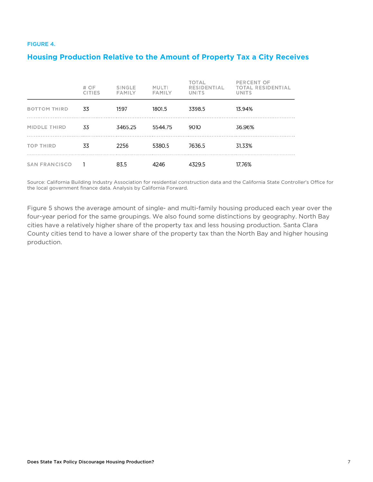#### FIGURE 4.

#### **Housing Production Relative to the Amount of Property Tax a City Receives**

|                     | # OF<br><b>CITIES</b> | SINGLE<br><b>FAMILY</b> | <b>MULTI</b><br><b>FAMILY</b> | <b>TOTAL</b><br>RESIDENTIAL<br>UNITS | PERCENT OF<br><b>TOTAL RESIDENTIAL</b><br>UNITS |
|---------------------|-----------------------|-------------------------|-------------------------------|--------------------------------------|-------------------------------------------------|
| <b>BOTTOM THIRD</b> | 33                    | 1597                    | 1801.5                        | 3398.5                               | 13.94%                                          |
| MIDDLE THIRD        | 33                    | 3465.25                 | 5544.75                       | 9010                                 | 36.96%                                          |
| <b>TOP THIRD</b>    | 33                    | 2256                    | 5380.5                        | 7636.5                               | 31.33%                                          |
| SAN FRANCISCO       |                       | 83.5                    | 4246                          | 4329.5                               | 17.76%                                          |

Source: California Building Industry Association for residential construction data and the California State Controller's Office for the local government finance data. Analysis by California Forward.

Figure 5 shows the average amount of single- and multi-family housing produced each year over the four-year period for the same groupings. We also found some distinctions by geography. North Bay cities have a relatively higher share of the property tax and less housing production. Santa Clara County cities tend to have a lower share of the property tax than the North Bay and higher housing production.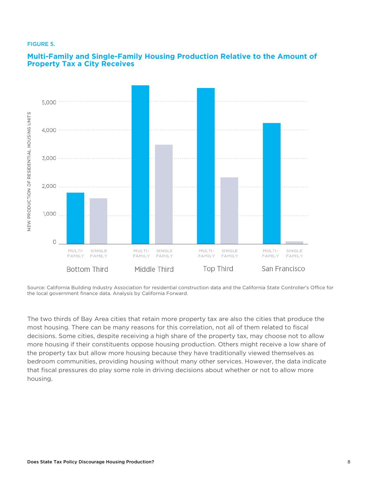#### FIGURE 5.



#### **Multi-Family and Single-Family Housing Production Relative to the Amount of Property Tax a City Receives**

Source: California Building Industry Association for residential construction data and the California State Controller's Office for the local government finance data. Analysis by California Forward.

The two thirds of Bay Area cities that retain more property tax are also the cities that produce the most housing. There can be many reasons for this correlation, not all of them related to fiscal decisions. Some cities, despite receiving a high share of the property tax, may choose not to allow more housing if their constituents oppose housing production. Others might receive a low share of the property tax but allow more housing because they have traditionally viewed themselves as bedroom communities, providing housing without many other services. However, the data indicate that fiscal pressures do play some role in driving decisions about whether or not to allow more housing.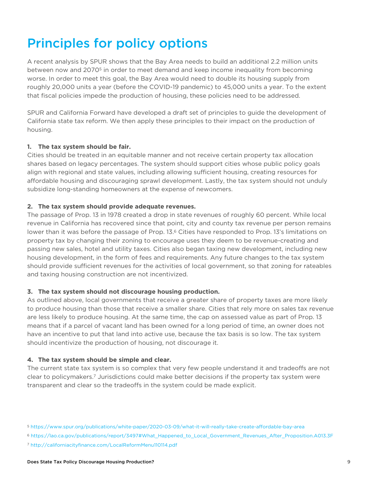# Principles for policy options

A recent analysis by SPUR shows that the Bay Area needs to build an additional 2.2 million units between now and 2070<sup>5</sup> in order to meet demand and keep income inequality from becoming worse. In order to meet this goal, the Bay Area would need to double its housing supply from roughly 20,000 units a year (before the COVID-19 pandemic) to 45,000 units a year. To the extent that fiscal policies impede the production of housing, these policies need to be addressed.

SPUR and California Forward have developed a draft set of principles to guide the development of California state tax reform. We then apply these principles to their impact on the production of housing.

#### **1. The tax system should be fair.**

Cities should be treated in an equitable manner and not receive certain property tax allocation shares based on legacy percentages. The system should support cities whose public policy goals align with regional and state values, including allowing sufficient housing, creating resources for affordable housing and discouraging sprawl development. Lastly, the tax system should not unduly subsidize long-standing homeowners at the expense of newcomers.

#### **2. The tax system should provide adequate revenues.**

The passage of Prop. 13 in 1978 created a drop in state revenues of roughly 60 percent. While local revenue in California has recovered since that point, city and county tax revenue per person remains lower than it was before the passage of Prop. 13.6 Cities have responded to Prop. 13's limitations on property tax by changing their zoning to encourage uses they deem to be revenue-creating and passing new sales, hotel and utility taxes. Cities also began taxing new development, including new housing development, in the form of fees and requirements. Any future changes to the tax system should provide sufficient revenues for the activities of local government, so that zoning for rateables and taxing housing construction are not incentivized.

#### **3. The tax system should not discourage housing production.**

As outlined above, local governments that receive a greater share of property taxes are more likely to produce housing than those that receive a smaller share. Cities that rely more on sales tax revenue are less likely to produce housing. At the same time, the cap on assessed value as part of Prop. 13 means that if a parcel of vacant land has been owned for a long period of time, an owner does not have an incentive to put that land into active use, because the tax basis is so low. The tax system should incentivize the production of housing, not discourage it.

#### **4. The tax system should be simple and clear.**

The current state tax system is so complex that very few people understand it and tradeoffs are not clear to policymakers.7 Jurisdictions could make better decisions if the property tax system were transparent and clear so the tradeoffs in the system could be made explicit.

<sup>5</sup> https://www.spur.org/publications/white-paper/2020-03-09/what-it-will-really-take-create-affordable-bay-area

<sup>6</sup> https://lao.ca.gov/publications/report/3497#What\_Happened\_to\_Local\_Government\_Revenues\_After\_Proposition.A013.3F

<sup>7</sup> http://californiacityfinance.com/LocalReformMenu110114.pdf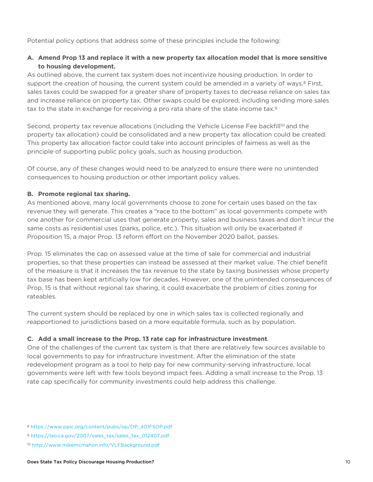Potential policy options that address some of these principles include the following:

#### **A. Amend Prop 13 and replace it with a new property tax allocation model that is more sensitive to housing development.**

As outlined above, the current tax system does not incentivize housing production. In order to support the creation of housing, the current system could be amended in a variety of ways.<sup>8</sup> First, sales taxes could be swapped for a greater share of property taxes to decrease reliance on sales tax and increase reliance on property tax. Other swaps could be explored, including sending more sales tax to the state in exchange for receiving a pro rata share of the state income tax.9

Second, property tax revenue allocations (including the Vehicle License Fee backfill<sup>10</sup> and the property tax allocation) could be consolidated and a new property tax allocation could be created. This property tax allocation factor could take into account principles of fairness as well as the principle of supporting public policy goals, such as housing production.

Of course, any of these changes would need to be analyzed to ensure there were no unintended consequences to housing production or other important policy values.

#### **B. Promote regional tax sharing.**

As mentioned above, many local governments choose to zone for certain uses based on the tax revenue they will generate. This creates a "race to the bottom" as local governments compete with one another for commercial uses that generate property, sales and business taxes and don't incur the same costs as residential uses (parks, police, etc.). This situation will only be exacerbated if Proposition 15, a major Prop. 13 reform effort on the November 2020 ballot, passes.

Prop. 15 eliminates the cap on assessed value at the time of sale for commercial and industrial properties, so that these properties can instead be assessed at their market value. The chief benefit of the measure is that it increases the tax revenue to the state by taxing businesses whose property tax base has been kept artificially low for decades. However, one of the unintended consequences of Prop. 15 is that without regional tax sharing, it could exacerbate the problem of cities zoning for rateables.

The current system should be replaced by one in which sales tax is collected regionally and reapportioned to jurisdictions based on a more equitable formula, such as by population.

#### **C. Add a small increase to the Prop. 13 rate cap for infrastructure investment**.

One of the challenges of the current tax system is that there are relatively few sources available to local governments to pay for infrastructure investment. After the elimination of the state redevelopment program as a tool to help pay for new community-serving infrastructure, local governments were left with few tools beyond impact fees. Adding a small increase to the Prop. 13 rate cap specifically for community investments could help address this challenge.

<sup>8</sup> https://www.ppic.org/content/pubs/op/OP\_401FSOP.pdf

<sup>9</sup> https://lao.ca.gov/2007/sales\_tax/sales\_tax\_012407.pdf

<sup>10</sup> http://www.mikemcmahon.info/VLFBackground.pdf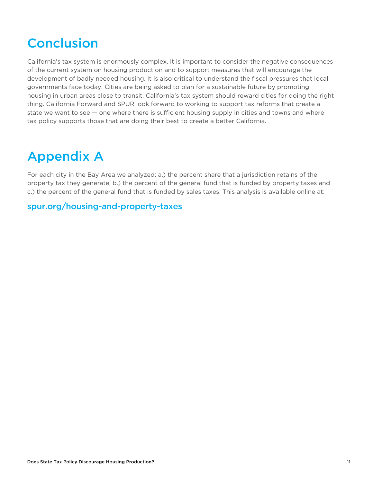# Conclusion

California's tax system is enormously complex. It is important to consider the negative consequences of the current system on housing production and to support measures that will encourage the development of badly needed housing. It is also critical to understand the fiscal pressures that local governments face today. Cities are being asked to plan for a sustainable future by promoting housing in urban areas close to transit. California's tax system should reward cities for doing the right thing. California Forward and SPUR look forward to working to support tax reforms that create a state we want to see — one where there is sufficient housing supply in cities and towns and where tax policy supports those that are doing their best to create a better California.

# Appendix A

For each city in the Bay Area we analyzed: a.) the percent share that a jurisdiction retains of the property tax they generate, b.) the percent of the general fund that is funded by property taxes and c.) the percent of the general fund that is funded by sales taxes. This analysis is available online at:

### [spur.org/housing-and-property-taxes](https://www.spur.org/housing-and-property-taxes)